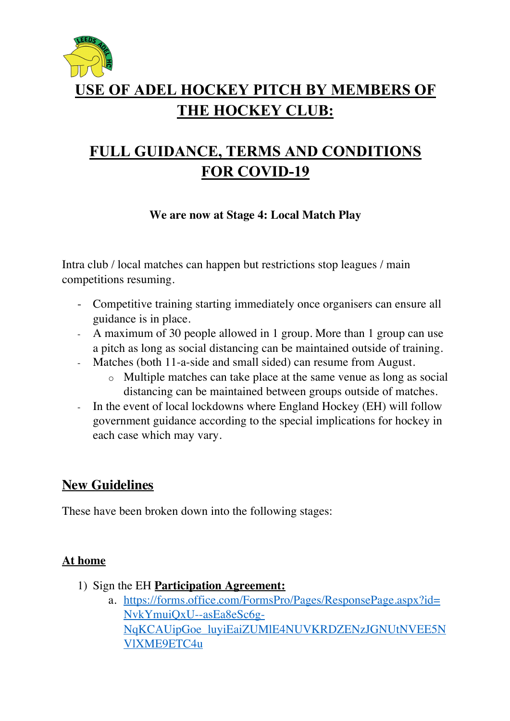

# **USE OF ADEL HOCKEY PITCH BY MEMBERS OF THE HOCKEY CLUB:**

# **FULL GUIDANCE, TERMS AND CONDITIONS FOR COVID-19**

**We are now at Stage 4: Local Match Play**

Intra club / local matches can happen but restrictions stop leagues / main competitions resuming.

- Competitive training starting immediately once organisers can ensure all guidance is in place.
- A maximum of 30 people allowed in 1 group. More than 1 group can use a pitch as long as social distancing can be maintained outside of training.
- Matches (both 11-a-side and small sided) can resume from August.
	- o Multiple matches can take place at the same venue as long as social distancing can be maintained between groups outside of matches.
- In the event of local lockdowns where England Hockey (EH) will follow government guidance according to the special implications for hockey in each case which may vary.

### **New Guidelines**

These have been broken down into the following stages:

#### **At home**

- 1) Sign the EH **Participation Agreement:**
	- a. https://forms.office.com/FormsPro/Pages/ResponsePage.aspx?id= NvkYmuiQxU--asEa8eSc6g-NqKCAUipGoe\_luyiEaiZUMlE4NUVKRDZENzJGNUtNVEE5N VlXME9ETC4u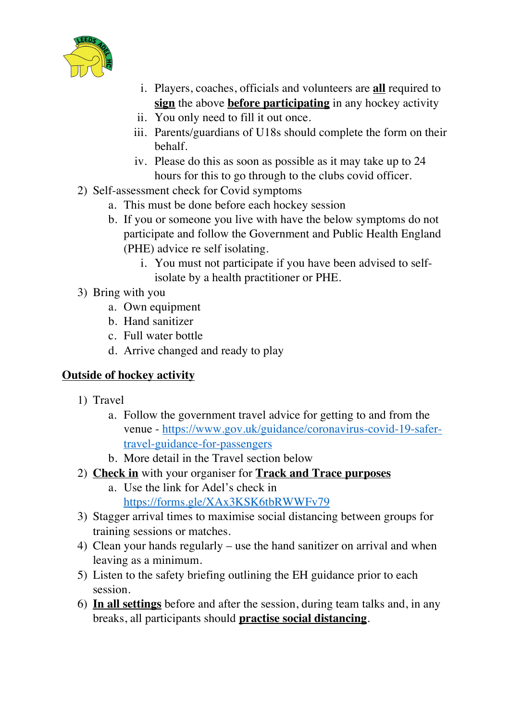

- i. Players, coaches, officials and volunteers are **all** required to **sign** the above **before participating** in any hockey activity
- ii. You only need to fill it out once.
- iii. Parents/guardians of U18s should complete the form on their behalf.
- iv. Please do this as soon as possible as it may take up to 24 hours for this to go through to the clubs covid officer.
- 2) Self-assessment check for Covid symptoms
	- a. This must be done before each hockey session
	- b. If you or someone you live with have the below symptoms do not participate and follow the Government and Public Health England (PHE) advice re self isolating.
		- i. You must not participate if you have been advised to selfisolate by a health practitioner or PHE.
- 3) Bring with you
	- a. Own equipment
	- b. Hand sanitizer
	- c. Full water bottle
	- d. Arrive changed and ready to play

#### **Outside of hockey activity**

- 1) Travel
	- a. Follow the government travel advice for getting to and from the venue - https://www.gov.uk/guidance/coronavirus-covid-19-safertravel-guidance-for-passengers
	- b. More detail in the Travel section below
- 2) **Check in** with your organiser for **Track and Trace purposes**
	- a. Use the link for Adel's check in https://forms.gle/XAx3KSK6tbRWWFv79
- 3) Stagger arrival times to maximise social distancing between groups for training sessions or matches.
- 4) Clean your hands regularly use the hand sanitizer on arrival and when leaving as a minimum.
- 5) Listen to the safety briefing outlining the EH guidance prior to each session.
- 6) **In all settings** before and after the session, during team talks and, in any breaks, all participants should **practise social distancing**.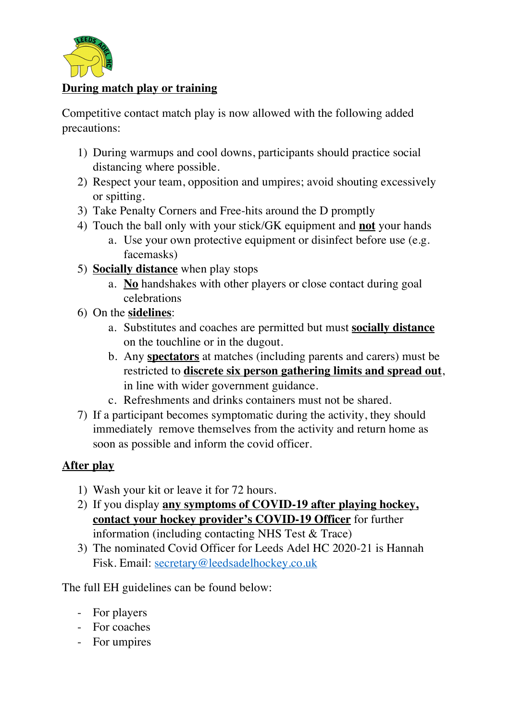

#### **During match play or training**

Competitive contact match play is now allowed with the following added precautions:

- 1) During warmups and cool downs, participants should practice social distancing where possible.
- 2) Respect your team, opposition and umpires; avoid shouting excessively or spitting.
- 3) Take Penalty Corners and Free-hits around the D promptly
- 4) Touch the ball only with your stick/GK equipment and **not** your hands
	- a. Use your own protective equipment or disinfect before use (e.g. facemasks)
- 5) **Socially distance** when play stops
	- a. **No** handshakes with other players or close contact during goal celebrations
- 6) On the **sidelines**:
	- a. Substitutes and coaches are permitted but must **socially distance** on the touchline or in the dugout.
	- b. Any **spectators** at matches (including parents and carers) must be restricted to **discrete six person gathering limits and spread out**, in line with wider government guidance.
	- c. Refreshments and drinks containers must not be shared.
- 7) If a participant becomes symptomatic during the activity, they should immediately remove themselves from the activity and return home as soon as possible and inform the covid officer.

#### **After play**

- 1) Wash your kit or leave it for 72 hours.
- 2) If you display **any symptoms of COVID-19 after playing hockey, contact your hockey provider's COVID-19 Officer** for further information (including contacting NHS Test & Trace)
- 3) The nominated Covid Officer for Leeds Adel HC 2020-21 is Hannah Fisk. Email: secretary@leedsadelhockey.co.uk

The full EH guidelines can be found below:

- For players
- For coaches
- For umpires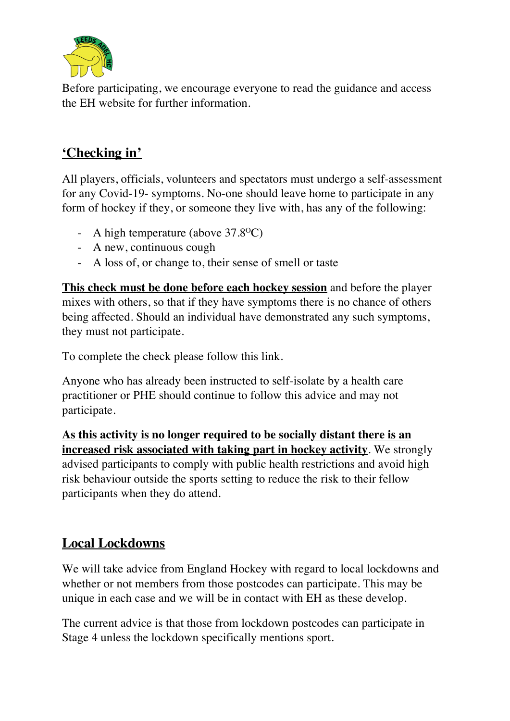

Before participating, we encourage everyone to read the guidance and access the EH website for further information.

### **'Checking in'**

All players, officials, volunteers and spectators must undergo a self-assessment for any Covid-19- symptoms. No-one should leave home to participate in any form of hockey if they, or someone they live with, has any of the following:

- A high temperature (above  $37.8^{\circ}$ C)
- A new, continuous cough
- A loss of, or change to, their sense of smell or taste

**This check must be done before each hockey session** and before the player mixes with others, so that if they have symptoms there is no chance of others being affected. Should an individual have demonstrated any such symptoms, they must not participate.

To complete the check please follow this link.

Anyone who has already been instructed to self-isolate by a health care practitioner or PHE should continue to follow this advice and may not participate.

**As this activity is no longer required to be socially distant there is an increased risk associated with taking part in hockey activity**. We strongly advised participants to comply with public health restrictions and avoid high risk behaviour outside the sports setting to reduce the risk to their fellow participants when they do attend.

### **Local Lockdowns**

We will take advice from England Hockey with regard to local lockdowns and whether or not members from those postcodes can participate. This may be unique in each case and we will be in contact with EH as these develop.

The current advice is that those from lockdown postcodes can participate in Stage 4 unless the lockdown specifically mentions sport.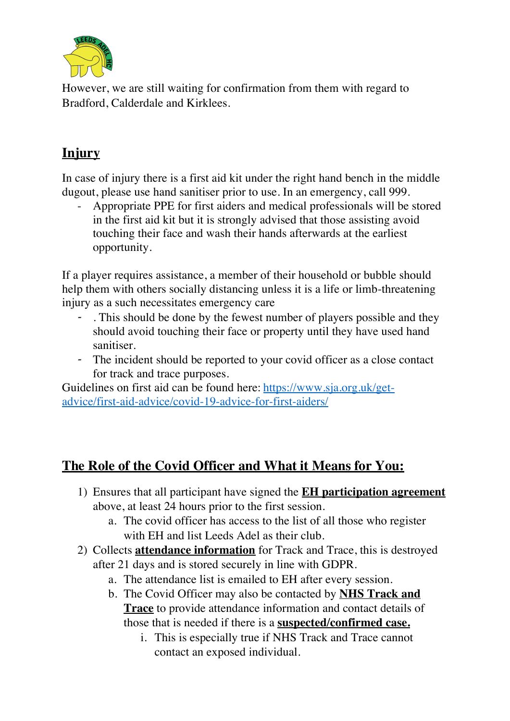

However, we are still waiting for confirmation from them with regard to Bradford, Calderdale and Kirklees.

# **Injury**

In case of injury there is a first aid kit under the right hand bench in the middle dugout, please use hand sanitiser prior to use. In an emergency, call 999.

- Appropriate PPE for first aiders and medical professionals will be stored in the first aid kit but it is strongly advised that those assisting avoid touching their face and wash their hands afterwards at the earliest opportunity.

If a player requires assistance, a member of their household or bubble should help them with others socially distancing unless it is a life or limb-threatening injury as a such necessitates emergency care

- . This should be done by the fewest number of players possible and they should avoid touching their face or property until they have used hand sanitiser.
- The incident should be reported to your covid officer as a close contact for track and trace purposes.

Guidelines on first aid can be found here: https://www.sja.org.uk/getadvice/first-aid-advice/covid-19-advice-for-first-aiders/

### **The Role of the Covid Officer and What it Means for You:**

- 1) Ensures that all participant have signed the **EH participation agreement** above, at least 24 hours prior to the first session.
	- a. The covid officer has access to the list of all those who register with EH and list Leeds Adel as their club.
- 2) Collects **attendance information** for Track and Trace, this is destroyed after 21 days and is stored securely in line with GDPR.
	- a. The attendance list is emailed to EH after every session.
	- b. The Covid Officer may also be contacted by **NHS Track and Trace** to provide attendance information and contact details of those that is needed if there is a **suspected/confirmed case.**
		- i. This is especially true if NHS Track and Trace cannot contact an exposed individual.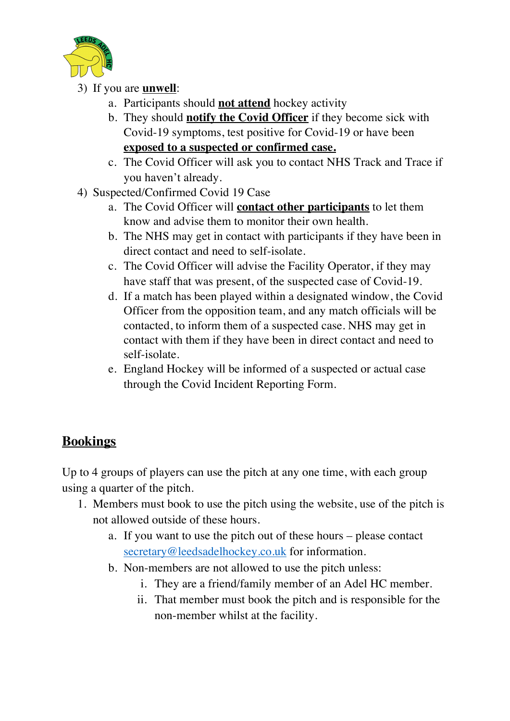

- 3) If you are **unwell**:
	- a. Participants should **not attend** hockey activity
	- b. They should **notify the Covid Officer** if they become sick with Covid-19 symptoms, test positive for Covid-19 or have been **exposed to a suspected or confirmed case.**
	- c. The Covid Officer will ask you to contact NHS Track and Trace if you haven't already.
- 4) Suspected/Confirmed Covid 19 Case
	- a. The Covid Officer will **contact other participants** to let them know and advise them to monitor their own health.
	- b. The NHS may get in contact with participants if they have been in direct contact and need to self-isolate.
	- c. The Covid Officer will advise the Facility Operator, if they may have staff that was present, of the suspected case of Covid-19.
	- d. If a match has been played within a designated window, the Covid Officer from the opposition team, and any match officials will be contacted, to inform them of a suspected case. NHS may get in contact with them if they have been in direct contact and need to self-isolate.
	- e. England Hockey will be informed of a suspected or actual case through the Covid Incident Reporting Form.

## **Bookings**

Up to 4 groups of players can use the pitch at any one time, with each group using a quarter of the pitch.

- 1. Members must book to use the pitch using the website, use of the pitch is not allowed outside of these hours.
	- a. If you want to use the pitch out of these hours please contact secretary@leedsadelhockey.co.uk for information.
	- b. Non-members are not allowed to use the pitch unless:
		- i. They are a friend/family member of an Adel HC member.
		- ii. That member must book the pitch and is responsible for the non-member whilst at the facility.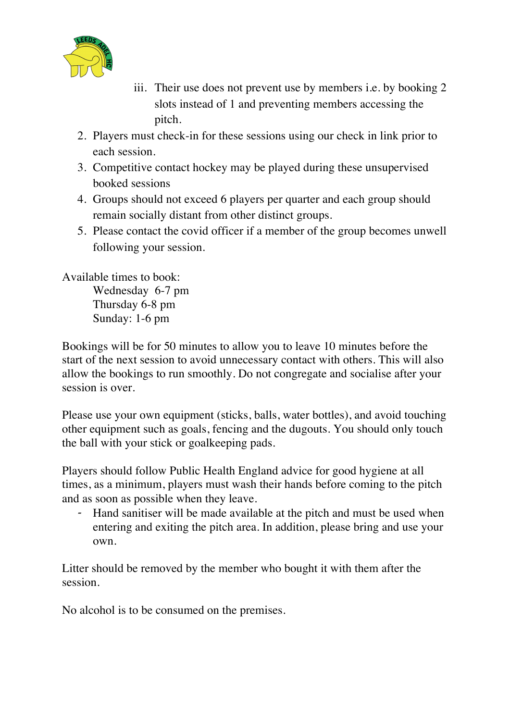

- iii. Their use does not prevent use by members i.e. by booking 2 slots instead of 1 and preventing members accessing the pitch.
- 2. Players must check-in for these sessions using our check in link prior to each session.
- 3. Competitive contact hockey may be played during these unsupervised booked sessions
- 4. Groups should not exceed 6 players per quarter and each group should remain socially distant from other distinct groups.
- 5. Please contact the covid officer if a member of the group becomes unwell following your session.

Available times to book: Wednesday 6-7 pm Thursday 6-8 pm

Sunday: 1-6 pm

Bookings will be for 50 minutes to allow you to leave 10 minutes before the start of the next session to avoid unnecessary contact with others. This will also allow the bookings to run smoothly. Do not congregate and socialise after your session is over.

Please use your own equipment (sticks, balls, water bottles), and avoid touching other equipment such as goals, fencing and the dugouts. You should only touch the ball with your stick or goalkeeping pads.

Players should follow Public Health England advice for good hygiene at all times, as a minimum, players must wash their hands before coming to the pitch and as soon as possible when they leave.

- Hand sanitiser will be made available at the pitch and must be used when entering and exiting the pitch area. In addition, please bring and use your own.

Litter should be removed by the member who bought it with them after the session.

No alcohol is to be consumed on the premises.